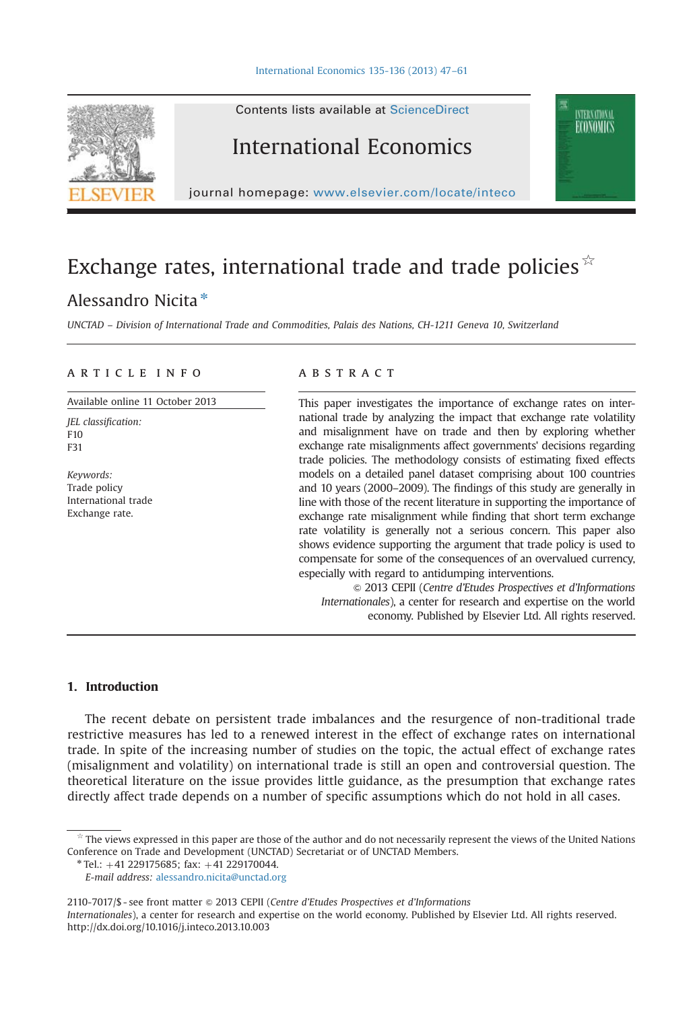

Contents lists available at ScienceDirect

# International Economics

 $j$ 

# Exchange rates, international trade and trade policies  $\dot{\mathbf{x}}$

# Alessandro Nicita $*$

UNCTAD – Division of International Trade and Commodities, Palais des Nations, CH-1211 Geneva 10, Switzerland

### article info

Available online 11 October 2013

- JEL classification:  $F10$ F31
- Keywords: Trade policy International trade Exchange rate.

### **ABSTRACT**

This paper investigates the importance of exchange rates on international trade by analyzing the impact that exchange rate volatility and misalignment have on trade and then by exploring whether exchange rate misalignments affect governments' decisions regarding trade policies. The methodology consists of estimating fixed effects models on a detailed panel dataset comprising about 100 countries and 10 years (2000–2009). The findings of this study are generally in line with those of the recent literature in supporting the importance of exchange rate misalignment while finding that short term exchange rate volatility is generally not a serious concern. This paper also shows evidence supporting the argument that trade policy is used to compensate for some of the consequences of an overvalued currency, especially with regard to antidumping interventions.

**NTERNATIONAL ECONOMICS** 

 $\odot$  2013 CEPII (Centre d'Etudes Prospectives et d'Informations Internationales), a center for research and expertise on the world economy. Published by Elsevier Ltd. All rights reserved.

# 1. Introduction

The recent debate on persistent trade imbalances and the resurgence of non-traditional trade restrictive measures has led to a renewed interest in the effect of exchange rates on international trade. In spite of the increasing number of studies on the topic, the actual effect of exchange rates (misalignment and volatility) on international trade is still an open and controversial question. The theoretical literature on the issue provides little guidance, as the presumption that exchange rates directly affect trade depends on a number of specific assumptions which do not hold in all cases.

2110-7017/\$ - see front matter  $\odot$  2013 CEPII (Centre d'Etudes Prospectives et d'Informations Internationales), a center for research and expertise on the world economy. Published by Elsevier Ltd. All rights reserved. <http://dx.doi.org/10.1016/j.inteco.2013.10.003>

 $*$  The views expressed in this paper are those of the author and do not necessarily represent the views of the United Nations Conference on Trade and Development (UNCTAD) Secretariat or of UNCTAD Members.

 $*$  Tel.:  $+41$  229175685; fax:  $+41$  229170044.

E-mail address: [alessandro.nicita@unctad.org](mailto:alessandro.nicita@unctad.org)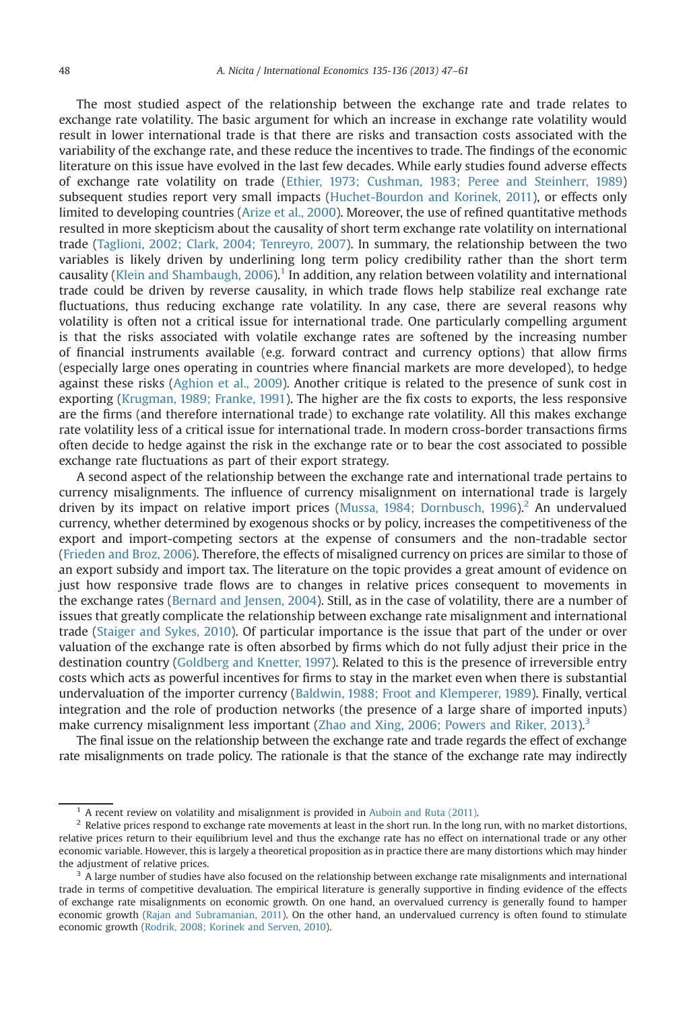The most studied aspect of the relationship between the exchange rate and trade relates to exchange rate volatility. The basic argument for which an increase in exchange rate volatility would result in lower international trade is that there are risks and transaction costs associated with the variability of the exchange rate, and these reduce the incentives to trade. The findings of the economic literature on this issue have evolved in the last few decades. While early studies found adverse effects of exchange rate volatility on trade ([Ethier, 1973; Cushman, 1983; Peree and Steinherr, 1989](#page-13-0)) subsequent studies report very small impacts [\(Huchet-Bourdon and Korinek, 2011\)](#page-13-0), or effects only limited to developing countries ([Arize et al., 2000](#page-13-0)). Moreover, the use of refined quantitative methods resulted in more skepticism about the causality of short term exchange rate volatility on international trade ([Taglioni, 2002; Clark, 2004; Tenreyro, 2007](#page-14-0)). In summary, the relationship between the two variables is likely driven by underlining long term policy credibility rather than the short term causality [\(Klein and Shambaugh, 2006\)](#page-14-0).<sup>1</sup> In addition, any relation between volatility and international trade could be driven by reverse causality, in which trade flows help stabilize real exchange rate fluctuations, thus reducing exchange rate volatility. In any case, there are several reasons why volatility is often not a critical issue for international trade. One particularly compelling argument is that the risks associated with volatile exchange rates are softened by the increasing number of financial instruments available (e.g. forward contract and currency options) that allow firms (especially large ones operating in countries where financial markets are more developed), to hedge against these risks ([Aghion et al., 2009](#page-13-0)). Another critique is related to the presence of sunk cost in exporting ([Krugman, 1989; Franke, 1991](#page-14-0)). The higher are the fix costs to exports, the less responsive are the firms (and therefore international trade) to exchange rate volatility. All this makes exchange rate volatility less of a critical issue for international trade. In modern cross-border transactions firms often decide to hedge against the risk in the exchange rate or to bear the cost associated to possible exchange rate fluctuations as part of their export strategy.

A second aspect of the relationship between the exchange rate and international trade pertains to currency misalignments. The influence of currency misalignment on international trade is largely driven by its impact on relative import prices ([Mussa, 1984; Dornbusch, 1996\)](#page-14-0).<sup>2</sup> An undervalued currency, whether determined by exogenous shocks or by policy, increases the competitiveness of the export and import-competing sectors at the expense of consumers and the non-tradable sector ([Frieden and Broz, 2006](#page-13-0)). Therefore, the effects of misaligned currency on prices are similar to those of an export subsidy and import tax. The literature on the topic provides a great amount of evidence on just how responsive trade flows are to changes in relative prices consequent to movements in the exchange rates ([Bernard and Jensen, 2004](#page-13-0)). Still, as in the case of volatility, there are a number of issues that greatly complicate the relationship between exchange rate misalignment and international trade [\(Staiger and Sykes, 2010\)](#page-14-0). Of particular importance is the issue that part of the under or over valuation of the exchange rate is often absorbed by firms which do not fully adjust their price in the destination country ([Goldberg and Knetter, 1997](#page-13-0)). Related to this is the presence of irreversible entry costs which acts as powerful incentives for firms to stay in the market even when there is substantial undervaluation of the importer currency [\(Baldwin, 1988; Froot and Klemperer, 1989\)](#page-13-0). Finally, vertical integration and the role of production networks (the presence of a large share of imported inputs) make currency misalignment less important ([Zhao and Xing, 2006; Powers and Riker, 2013](#page-14-0)).<sup>3</sup>

The final issue on the relationship between the exchange rate and trade regards the effect of exchange rate misalignments on trade policy. The rationale is that the stance of the exchange rate may indirectly

<sup>1</sup> A recent review on volatility and misalignment is provided in [Auboin and Ruta \(2011\)](#page-13-0).

<sup>&</sup>lt;sup>2</sup> Relative prices respond to exchange rate movements at least in the short run. In the long run, with no market distortions, relative prices return to their equilibrium level and thus the exchange rate has no effect on international trade or any other economic variable. However, this is largely a theoretical proposition as in practice there are many distortions which may hinder the adjustment of relative prices.

 $3$  A large number of studies have also focused on the relationship between exchange rate misalignments and international trade in terms of competitive devaluation. The empirical literature is generally supportive in finding evidence of the effects of exchange rate misalignments on economic growth. On one hand, an overvalued currency is generally found to hamper economic growth [\(Rajan and Subramanian, 2011](#page-14-0)). On the other hand, an undervalued currency is often found to stimulate economic growth ([Rodrik, 2008; Korinek and Serven, 2010](#page-14-0)).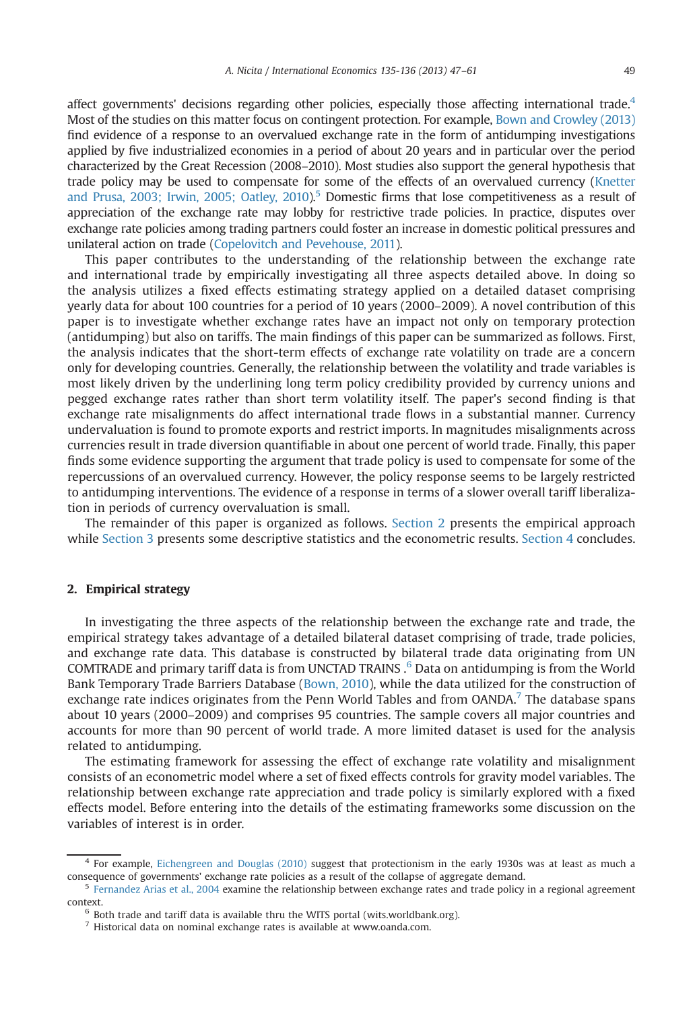affect governments' decisions regarding other policies, especially those affecting international trade. $4$ Most of the studies on this matter focus on contingent protection. For example, [Bown and Crowley \(2013\)](#page-13-0) find evidence of a response to an overvalued exchange rate in the form of antidumping investigations applied by five industrialized economies in a period of about 20 years and in particular over the period characterized by the Great Recession (2008–2010). Most studies also support the general hypothesis that trade policy may be used to compensate for some of the effects of an overvalued currency ([Knetter](#page-14-0) and Prusa, 2003; Irwin, 2005; Oatley,  $2010$ ).<sup>5</sup> Domestic firms that lose competitiveness as a result of appreciation of the exchange rate may lobby for restrictive trade policies. In practice, disputes over exchange rate policies among trading partners could foster an increase in domestic political pressures and unilateral action on trade [\(Copelovitch and Pevehouse, 2011](#page-13-0)).

This paper contributes to the understanding of the relationship between the exchange rate and international trade by empirically investigating all three aspects detailed above. In doing so the analysis utilizes a fixed effects estimating strategy applied on a detailed dataset comprising yearly data for about 100 countries for a period of 10 years (2000–2009). A novel contribution of this paper is to investigate whether exchange rates have an impact not only on temporary protection (antidumping) but also on tariffs. The main findings of this paper can be summarized as follows. First, the analysis indicates that the short-term effects of exchange rate volatility on trade are a concern only for developing countries. Generally, the relationship between the volatility and trade variables is most likely driven by the underlining long term policy credibility provided by currency unions and pegged exchange rates rather than short term volatility itself. The paper's second finding is that exchange rate misalignments do affect international trade flows in a substantial manner. Currency undervaluation is found to promote exports and restrict imports. In magnitudes misalignments across currencies result in trade diversion quantifiable in about one percent of world trade. Finally, this paper finds some evidence supporting the argument that trade policy is used to compensate for some of the repercussions of an overvalued currency. However, the policy response seems to be largely restricted to antidumping interventions. The evidence of a response in terms of a slower overall tariff liberalization in periods of currency overvaluation is small.

The remainder of this paper is organized as follows. Section 2 presents the empirical approach while [Section 3](#page-5-0) presents some descriptive statistics and the econometric results. [Section 4](#page-12-0) concludes.

## 2. Empirical strategy

In investigating the three aspects of the relationship between the exchange rate and trade, the empirical strategy takes advantage of a detailed bilateral dataset comprising of trade, trade policies, and exchange rate data. This database is constructed by bilateral trade data originating from UN COMTRADE and primary tariff data is from UNCTAD TRAINS .<sup>6</sup> Data on antidumping is from the World Bank Temporary Trade Barriers Database [\(Bown, 2010](#page-13-0)), while the data utilized for the construction of exchange rate indices originates from the Penn World Tables and from OANDA.<sup>7</sup> The database spans about 10 years (2000–2009) and comprises 95 countries. The sample covers all major countries and accounts for more than 90 percent of world trade. A more limited dataset is used for the analysis related to antidumping.

The estimating framework for assessing the effect of exchange rate volatility and misalignment consists of an econometric model where a set of fixed effects controls for gravity model variables. The relationship between exchange rate appreciation and trade policy is similarly explored with a fixed effects model. Before entering into the details of the estimating frameworks some discussion on the variables of interest is in order.

<sup>4</sup> For example, [Eichengreen and Douglas \(2010\)](#page-13-0) suggest that protectionism in the early 1930s was at least as much a consequence of governments' exchange rate policies as a result of the collapse of aggregate demand.

<sup>5</sup> [Fernandez Arias et al., 2004](#page-13-0) examine the relationship between exchange rates and trade policy in a regional agreement context.

 $6$  Both trade and tariff data is available thru the WITS portal (wits.worldbank.org).

 $7$  Historical data on nominal exchange rates is available at www.oanda.com.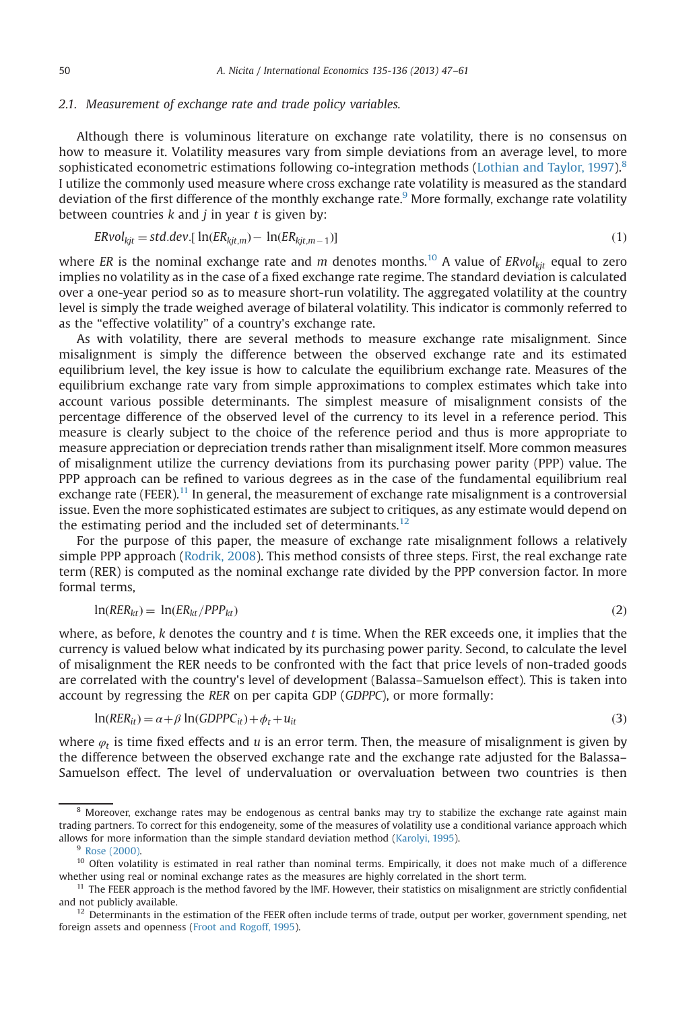#### 2.1. Measurement of exchange rate and trade policy variables.

Although there is voluminous literature on exchange rate volatility, there is no consensus on how to measure it. Volatility measures vary from simple deviations from an average level, to more sophisticated econometric estimations following co-integration methods [\(Lothian and Taylor, 1997\)](#page-14-0).<sup>8</sup> I utilize the commonly used measure where cross exchange rate volatility is measured as the standard deviation of the first difference of the monthly exchange rate.<sup>9</sup> More formally, exchange rate volatility between countries  $k$  and  $j$  in year  $t$  is given by:

$$
ERvol_{kjt} = std.dev.[ln(ER_{kjt,m}) - ln(ER_{kjt,m-1})]
$$
\n(1)

where ER is the nominal exchange rate and m denotes months.<sup>10</sup> A value of ERvol<sub>kit</sub> equal to zero implies no volatility as in the case of a fixed exchange rate regime. The standard deviation is calculated over a one-year period so as to measure short-run volatility. The aggregated volatility at the country level is simply the trade weighed average of bilateral volatility. This indicator is commonly referred to as the "effective volatility" of a country's exchange rate.

As with volatility, there are several methods to measure exchange rate misalignment. Since misalignment is simply the difference between the observed exchange rate and its estimated equilibrium level, the key issue is how to calculate the equilibrium exchange rate. Measures of the equilibrium exchange rate vary from simple approximations to complex estimates which take into account various possible determinants. The simplest measure of misalignment consists of the percentage difference of the observed level of the currency to its level in a reference period. This measure is clearly subject to the choice of the reference period and thus is more appropriate to measure appreciation or depreciation trends rather than misalignment itself. More common measures of misalignment utilize the currency deviations from its purchasing power parity (PPP) value. The PPP approach can be refined to various degrees as in the case of the fundamental equilibrium real exchange rate (FEER).<sup>11</sup> In general, the measurement of exchange rate misalignment is a controversial issue. Even the more sophisticated estimates are subject to critiques, as any estimate would depend on the estimating period and the included set of determinants. $12$ 

For the purpose of this paper, the measure of exchange rate misalignment follows a relatively simple PPP approach [\(Rodrik, 2008\)](#page-14-0). This method consists of three steps. First, the real exchange rate term (RER) is computed as the nominal exchange rate divided by the PPP conversion factor. In more formal terms,

$$
\ln(RER_{kt}) = \ln(ER_{kt}/PPP_{kt})
$$
\n(2)

where, as before,  $k$  denotes the country and  $t$  is time. When the RER exceeds one, it implies that the currency is valued below what indicated by its purchasing power parity. Second, to calculate the level of misalignment the RER needs to be confronted with the fact that price levels of non-traded goods are correlated with the country's level of development (Balassa–Samuelson effect). This is taken into account by regressing the RER on per capita GDP (GDPPC), or more formally:

$$
\ln(REF_{it}) = \alpha + \beta \ln(GDPPC_{it}) + \phi_t + u_{it}
$$
\n(3)

where  $\varphi_t$  is time fixed effects and u is an error term. Then, the measure of misalignment is given by the difference between the observed exchange rate and the exchange rate adjusted for the Balassa– Samuelson effect. The level of undervaluation or overvaluation between two countries is then

```
Rose (2000).
```
Moreover, exchange rates may be endogenous as central banks may try to stabilize the exchange rate against main trading partners. To correct for this endogeneity, some of the measures of volatility use a conditional variance approach which allows for more information than the simple standard deviation method ([Karolyi, 1995\)](#page-13-0).

<sup>&</sup>lt;sup>10</sup> Often volatility is estimated in real rather than nominal terms. Empirically, it does not make much of a difference whether using real or nominal exchange rates as the measures are highly correlated in the short term.

 $11$  The FEER approach is the method favored by the IMF. However, their statistics on misalignment are strictly confidential and not publicly available.

 $12$  Determinants in the estimation of the FEER often include terms of trade, output per worker, government spending, net foreign assets and openness [\(Froot and Rogoff, 1995\)](#page-13-0).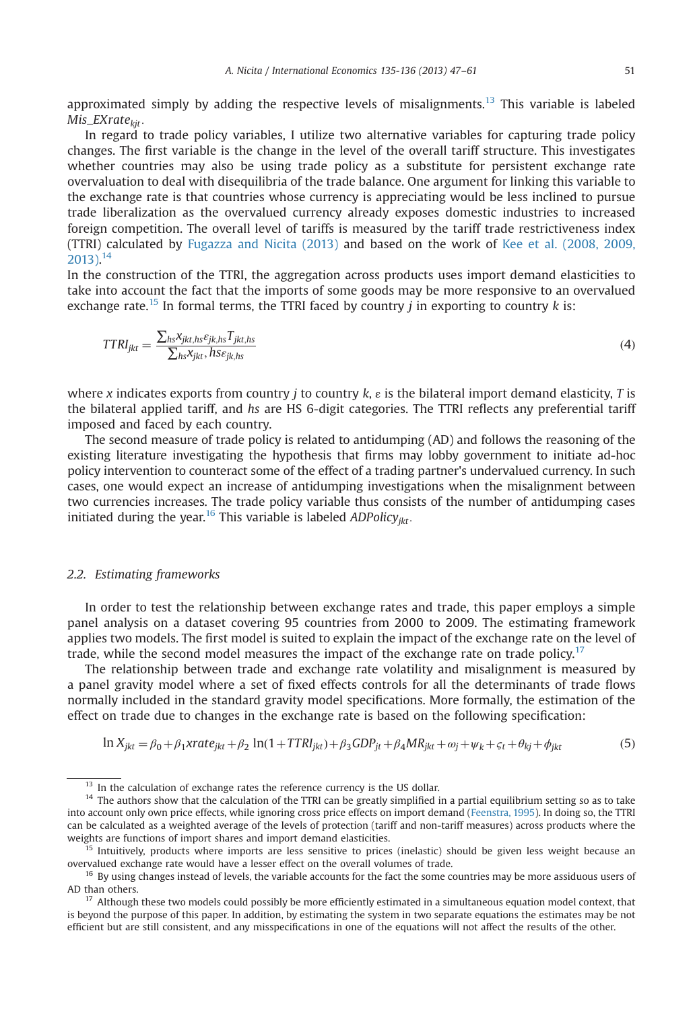<span id="page-4-0"></span>approximated simply by adding the respective levels of misalignments.<sup>13</sup> This variable is labeled  $Mis\_EXrate_{kit}.$ 

In regard to trade policy variables, I utilize two alternative variables for capturing trade policy changes. The first variable is the change in the level of the overall tariff structure. This investigates whether countries may also be using trade policy as a substitute for persistent exchange rate overvaluation to deal with disequilibria of the trade balance. One argument for linking this variable to the exchange rate is that countries whose currency is appreciating would be less inclined to pursue trade liberalization as the overvalued currency already exposes domestic industries to increased foreign competition. The overall level of tariffs is measured by the tariff trade restrictiveness index (TTRI) calculated by [Fugazza and Nicita \(2013\)](#page-13-0) and based on the work of [Kee et al. \(2008, 2009,](#page-13-0)  $2013$ ).<sup>14</sup>

In the construction of the TTRI, the aggregation across products uses import demand elasticities to take into account the fact that the imports of some goods may be more responsive to an overvalued exchange rate.<sup>15</sup> In formal terms, the TTRI faced by country *j* in exporting to country *k* is:

$$
TTRI_{jkt} = \frac{\sum_{hs} X_{jkt,hs} \varepsilon_{jkt,hs} T_{jkt,hs}}{\sum_{hs} X_{jkt} \cdot hse_{jkt,hs}}
$$
(4)

where x indicates exports from country *j* to country  $k$ ,  $\varepsilon$  is the bilateral import demand elasticity, *T* is the bilateral applied tariff, and hs are HS 6-digit categories. The TTRI reflects any preferential tariff imposed and faced by each country.

The second measure of trade policy is related to antidumping (AD) and follows the reasoning of the existing literature investigating the hypothesis that firms may lobby government to initiate ad-hoc policy intervention to counteract some of the effect of a trading partner's undervalued currency. In such cases, one would expect an increase of antidumping investigations when the misalignment between two currencies increases. The trade policy variable thus consists of the number of antidumping cases initiated during the year.<sup>16</sup> This variable is labeled ADPolicy<sub>ikt</sub>.

#### 2.2. Estimating frameworks

In order to test the relationship between exchange rates and trade, this paper employs a simple panel analysis on a dataset covering 95 countries from 2000 to 2009. The estimating framework applies two models. The first model is suited to explain the impact of the exchange rate on the level of trade, while the second model measures the impact of the exchange rate on trade policy.<sup>17</sup>

The relationship between trade and exchange rate volatility and misalignment is measured by a panel gravity model where a set of fixed effects controls for all the determinants of trade flows normally included in the standard gravity model specifications. More formally, the estimation of the effect on trade due to changes in the exchange rate is based on the following specification:

$$
\ln X_{jkt} = \beta_0 + \beta_1 x \text{rate}_{jkt} + \beta_2 \ln(1 + TTR_{jkt}) + \beta_3 GDP_{jt} + \beta_4 MR_{jkt} + \omega_j + \psi_k + \zeta_t + \theta_{kj} + \phi_{jkt} \tag{5}
$$

 $13$  In the calculation of exchange rates the reference currency is the US dollar.

<sup>&</sup>lt;sup>14</sup> The authors show that the calculation of the TTRI can be greatly simplified in a partial equilibrium setting so as to take into account only own price effects, while ignoring cross price effects on import demand [\(Feenstra, 1995](#page-13-0)). In doing so, the TTRI can be calculated as a weighted average of the levels of protection (tariff and non-tariff measures) across products where the weights are functions of import shares and import demand elasticities.

<sup>&</sup>lt;sup>15</sup> Intuitively, products where imports are less sensitive to prices (inelastic) should be given less weight because an overvalued exchange rate would have a lesser effect on the overall volumes of trade.

<sup>&</sup>lt;sup>16</sup> By using changes instead of levels, the variable accounts for the fact the some countries may be more assiduous users of AD than others.

 $17$  Although these two models could possibly be more efficiently estimated in a simultaneous equation model context, that is beyond the purpose of this paper. In addition, by estimating the system in two separate equations the estimates may be not efficient but are still consistent, and any misspecifications in one of the equations will not affect the results of the other.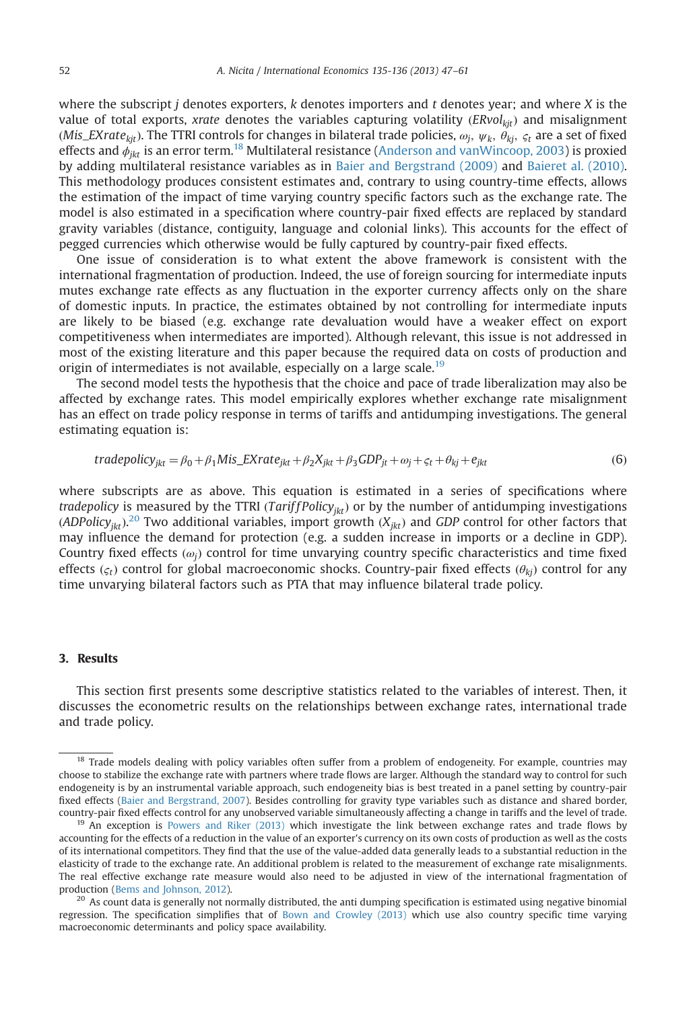<span id="page-5-0"></span>where the subscript  $j$  denotes exporters, k denotes importers and t denotes year; and where  $X$  is the value of total exports, xrate denotes the variables capturing volatility  $(ERvol_{kit})$  and misalignment (Mis\_EXrate<sub>kit</sub>). The TTRI controls for changes in bilateral trade policies,  $\omega_i$ ,  $\psi_k$ ,  $\theta_{ki}$ ,  $\zeta_i$  are a set of fixed effects and  $\phi_{ikt}$  is an error term.<sup>18</sup> Multilateral resistance ([Anderson and vanWincoop, 2003](#page-13-0)) is proxied by adding multilateral resistance variables as in [Baier and Bergstrand \(2009\)](#page-13-0) and [Baieret al. \(2010\)](#page-13-0). This methodology produces consistent estimates and, contrary to using country-time effects, allows the estimation of the impact of time varying country specific factors such as the exchange rate. The model is also estimated in a specification where country-pair fixed effects are replaced by standard gravity variables (distance, contiguity, language and colonial links). This accounts for the effect of pegged currencies which otherwise would be fully captured by country-pair fixed effects.

One issue of consideration is to what extent the above framework is consistent with the international fragmentation of production. Indeed, the use of foreign sourcing for intermediate inputs mutes exchange rate effects as any fluctuation in the exporter currency affects only on the share of domestic inputs. In practice, the estimates obtained by not controlling for intermediate inputs are likely to be biased (e.g. exchange rate devaluation would have a weaker effect on export competitiveness when intermediates are imported). Although relevant, this issue is not addressed in most of the existing literature and this paper because the required data on costs of production and origin of intermediates is not available, especially on a large scale.<sup>19</sup>

The second model tests the hypothesis that the choice and pace of trade liberalization may also be affected by exchange rates. This model empirically explores whether exchange rate misalignment has an effect on trade policy response in terms of tariffs and antidumping investigations. The general estimating equation is:

$$
tradepolicy_{jkt} = \beta_0 + \beta_1 Mis\_EXrate_{jkt} + \beta_2 X_{jkt} + \beta_3 GDP_{jt} + \omega_j + \varsigma_t + \theta_{kj} + e_{jkt}
$$
(6)

where subscripts are as above. This equation is estimated in a series of specifications where tradepolicy is measured by the TTRI (Tariff Policy<sub>ikt</sub>) or by the number of antidumping investigations  $(ADDolicy_{jkt})$ <sup>20</sup> Two additional variables, import growth  $(X_{jkt})$  and GDP control for other factors that may influence the demand for protection (e.g. a sudden increase in imports or a decline in GDP). Country fixed effects  $(\omega_i)$  control for time unvarying country specific characteristics and time fixed effects  $({\zeta}_t)$  control for global macroeconomic shocks. Country-pair fixed effects  $({\theta}_{ki})$  control for any time unvarying bilateral factors such as PTA that may influence bilateral trade policy.

#### 3. Results

This section first presents some descriptive statistics related to the variables of interest. Then, it discusses the econometric results on the relationships between exchange rates, international trade and trade policy.

<sup>&</sup>lt;sup>18</sup> Trade models dealing with policy variables often suffer from a problem of endogeneity. For example, countries may choose to stabilize the exchange rate with partners where trade flows are larger. Although the standard way to control for such endogeneity is by an instrumental variable approach, such endogeneity bias is best treated in a panel setting by country-pair fixed effects ([Baier and Bergstrand, 2007](#page-13-0)). Besides controlling for gravity type variables such as distance and shared border, country-pair fixed effects control for any unobserved variable simultaneously affecting a change in tariffs and the level of trade.

<sup>&</sup>lt;sup>19</sup> An exception is [Powers and Riker \(2013\)](#page-14-0) which investigate the link between exchange rates and trade flows by accounting for the effects of a reduction in the value of an exporter's currency on its own costs of production as well as the costs of its international competitors. They find that the use of the value-added data generally leads to a substantial reduction in the elasticity of trade to the exchange rate. An additional problem is related to the measurement of exchange rate misalignments. The real effective exchange rate measure would also need to be adjusted in view of the international fragmentation of production ([Bems and Johnson, 2012\)](#page-13-0).

 $20$  As count data is generally not normally distributed, the anti dumping specification is estimated using negative binomial regression. The specification simplifies that of [Bown and Crowley \(2013\)](#page-13-0) which use also country specific time varying macroeconomic determinants and policy space availability.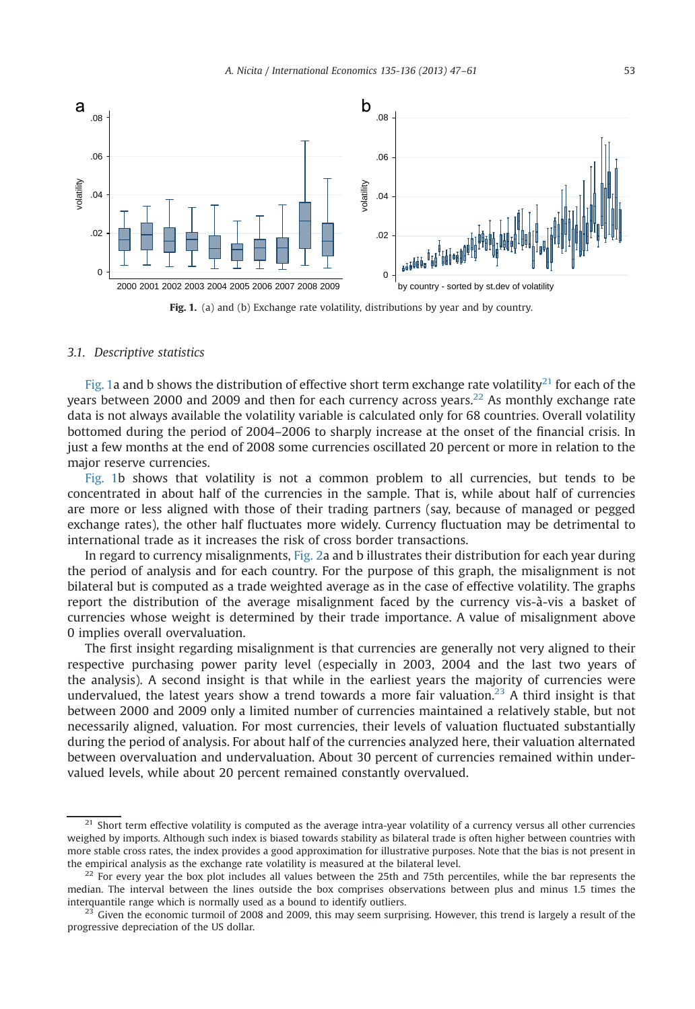<span id="page-6-0"></span>

Fig. 1. (a) and (b) Exchange rate volatility, distributions by year and by country.

#### 3.1. Descriptive statistics

Fig. 1a and b shows the distribution of effective short term exchange rate volatility<sup>21</sup> for each of the years between 2000 and 2009 and then for each currency across years.<sup>22</sup> As monthly exchange rate data is not always available the volatility variable is calculated only for 68 countries. Overall volatility bottomed during the period of 2004–2006 to sharply increase at the onset of the financial crisis. In just a few months at the end of 2008 some currencies oscillated 20 percent or more in relation to the major reserve currencies.

Fig. 1b shows that volatility is not a common problem to all currencies, but tends to be concentrated in about half of the currencies in the sample. That is, while about half of currencies are more or less aligned with those of their trading partners (say, because of managed or pegged exchange rates), the other half fluctuates more widely. Currency fluctuation may be detrimental to international trade as it increases the risk of cross border transactions.

In regard to currency misalignments, [Fig. 2a](#page-7-0) and b illustrates their distribution for each year during the period of analysis and for each country. For the purpose of this graph, the misalignment is not bilateral but is computed as a trade weighted average as in the case of effective volatility. The graphs report the distribution of the average misalignment faced by the currency vis-à-vis a basket of currencies whose weight is determined by their trade importance. A value of misalignment above 0 implies overall overvaluation.

The first insight regarding misalignment is that currencies are generally not very aligned to their respective purchasing power parity level (especially in 2003, 2004 and the last two years of the analysis). A second insight is that while in the earliest years the majority of currencies were undervalued, the latest years show a trend towards a more fair valuation.<sup>23</sup> A third insight is that between 2000 and 2009 only a limited number of currencies maintained a relatively stable, but not necessarily aligned, valuation. For most currencies, their levels of valuation fluctuated substantially during the period of analysis. For about half of the currencies analyzed here, their valuation alternated between overvaluation and undervaluation. About 30 percent of currencies remained within undervalued levels, while about 20 percent remained constantly overvalued.

 $21$  Short term effective volatility is computed as the average intra-year volatility of a currency versus all other currencies weighed by imports. Although such index is biased towards stability as bilateral trade is often higher between countries with more stable cross rates, the index provides a good approximation for illustrative purposes. Note that the bias is not present in the empirical analysis as the exchange rate volatility is measured at the bilateral level.

 $22$  For every year the box plot includes all values between the 25th and 75th percentiles, while the bar represents the median. The interval between the lines outside the box comprises observations between plus and minus 1.5 times the interquantile range which is normally used as a bound to identify outliers.

 $^{23}$  Given the economic turmoil of 2008 and 2009, this may seem surprising. However, this trend is largely a result of the progressive depreciation of the US dollar.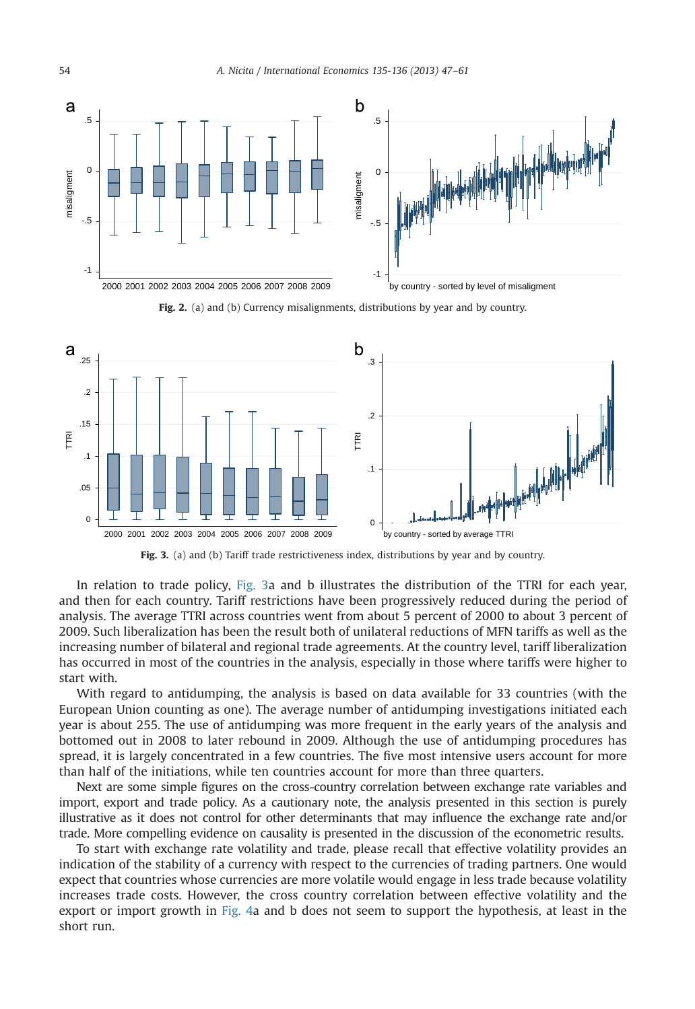

Fig. 2. (a) and (b) Currency misalignments, distributions by year and by country.



Fig. 3. (a) and (b) Tariff trade restrictiveness index, distributions by year and by country.

In relation to trade policy, Fig. 3a and b illustrates the distribution of the TTRI for each year, and then for each country. Tariff restrictions have been progressively reduced during the period of analysis. The average TTRI across countries went from about 5 percent of 2000 to about 3 percent of 2009. Such liberalization has been the result both of unilateral reductions of MFN tariffs as well as the increasing number of bilateral and regional trade agreements. At the country level, tariff liberalization has occurred in most of the countries in the analysis, especially in those where tariffs were higher to start with.

With regard to antidumping, the analysis is based on data available for 33 countries (with the European Union counting as one). The average number of antidumping investigations initiated each year is about 255. The use of antidumping was more frequent in the early years of the analysis and bottomed out in 2008 to later rebound in 2009. Although the use of antidumping procedures has spread, it is largely concentrated in a few countries. The five most intensive users account for more than half of the initiations, while ten countries account for more than three quarters.

Next are some simple figures on the cross-country correlation between exchange rate variables and import, export and trade policy. As a cautionary note, the analysis presented in this section is purely illustrative as it does not control for other determinants that may influence the exchange rate and/or trade. More compelling evidence on causality is presented in the discussion of the econometric results.

To start with exchange rate volatility and trade, please recall that effective volatility provides an indication of the stability of a currency with respect to the currencies of trading partners. One would expect that countries whose currencies are more volatile would engage in less trade because volatility increases trade costs. However, the cross country correlation between effective volatility and the export or import growth in [Fig. 4](#page-8-0)a and b does not seem to support the hypothesis, at least in the short run.

<span id="page-7-0"></span>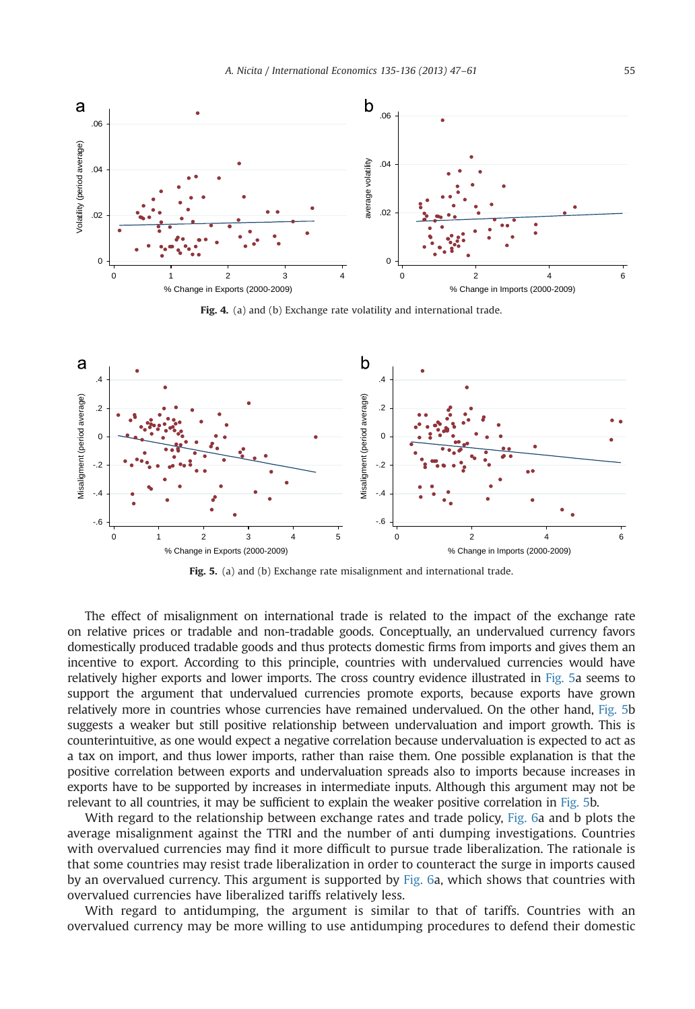<span id="page-8-0"></span>

Fig. 4. (a) and (b) Exchange rate volatility and international trade.



Fig. 5. (a) and (b) Exchange rate misalignment and international trade.

The effect of misalignment on international trade is related to the impact of the exchange rate on relative prices or tradable and non-tradable goods. Conceptually, an undervalued currency favors domestically produced tradable goods and thus protects domestic firms from imports and gives them an incentive to export. According to this principle, countries with undervalued currencies would have relatively higher exports and lower imports. The cross country evidence illustrated in Fig. 5a seems to support the argument that undervalued currencies promote exports, because exports have grown relatively more in countries whose currencies have remained undervalued. On the other hand, Fig. 5b suggests a weaker but still positive relationship between undervaluation and import growth. This is counterintuitive, as one would expect a negative correlation because undervaluation is expected to act as a tax on import, and thus lower imports, rather than raise them. One possible explanation is that the positive correlation between exports and undervaluation spreads also to imports because increases in exports have to be supported by increases in intermediate inputs. Although this argument may not be relevant to all countries, it may be sufficient to explain the weaker positive correlation in Fig. 5b.

With regard to the relationship between exchange rates and trade policy, [Fig. 6](#page-9-0)a and b plots the average misalignment against the TTRI and the number of anti dumping investigations. Countries with overvalued currencies may find it more difficult to pursue trade liberalization. The rationale is that some countries may resist trade liberalization in order to counteract the surge in imports caused by an overvalued currency. This argument is supported by [Fig. 6](#page-9-0)a, which shows that countries with overvalued currencies have liberalized tariffs relatively less.

With regard to antidumping, the argument is similar to that of tariffs. Countries with an overvalued currency may be more willing to use antidumping procedures to defend their domestic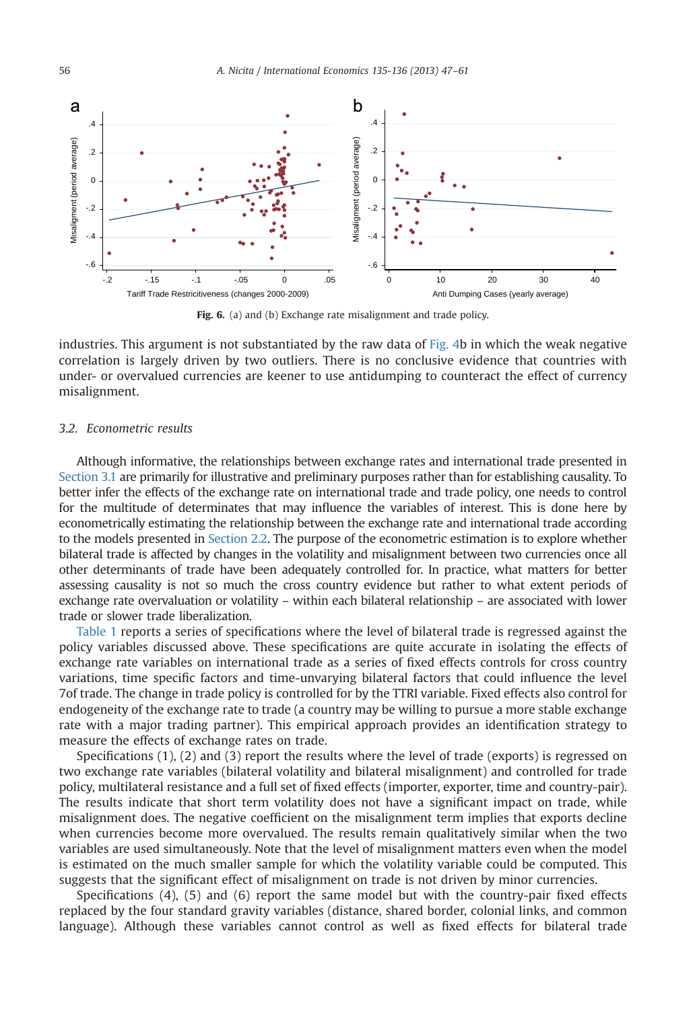<span id="page-9-0"></span>

Fig. 6. (a) and (b) Exchange rate misalignment and trade policy.

industries. This argument is not substantiated by the raw data of [Fig. 4b](#page-8-0) in which the weak negative correlation is largely driven by two outliers. There is no conclusive evidence that countries with under- or overvalued currencies are keener to use antidumping to counteract the effect of currency misalignment.

#### 3.2. Econometric results

Although informative, the relationships between exchange rates and international trade presented in [Section 3.1](#page-6-0) are primarily for illustrative and preliminary purposes rather than for establishing causality. To better infer the effects of the exchange rate on international trade and trade policy, one needs to control for the multitude of determinates that may influence the variables of interest. This is done here by econometrically estimating the relationship between the exchange rate and international trade according to the models presented in [Section 2.2.](#page-4-0) The purpose of the econometric estimation is to explore whether bilateral trade is affected by changes in the volatility and misalignment between two currencies once all other determinants of trade have been adequately controlled for. In practice, what matters for better assessing causality is not so much the cross country evidence but rather to what extent periods of exchange rate overvaluation or volatility – within each bilateral relationship – are associated with lower trade or slower trade liberalization.

[Table 1](#page-10-0) reports a series of specifications where the level of bilateral trade is regressed against the policy variables discussed above. These specifications are quite accurate in isolating the effects of exchange rate variables on international trade as a series of fixed effects controls for cross country variations, time specific factors and time-unvarying bilateral factors that could influence the level 7of trade. The change in trade policy is controlled for by the TTRI variable. Fixed effects also control for endogeneity of the exchange rate to trade (a country may be willing to pursue a more stable exchange rate with a major trading partner). This empirical approach provides an identification strategy to measure the effects of exchange rates on trade.

Specifications (1), (2) and (3) report the results where the level of trade (exports) is regressed on two exchange rate variables (bilateral volatility and bilateral misalignment) and controlled for trade policy, multilateral resistance and a full set of fixed effects (importer, exporter, time and country-pair). The results indicate that short term volatility does not have a significant impact on trade, while misalignment does. The negative coefficient on the misalignment term implies that exports decline when currencies become more overvalued. The results remain qualitatively similar when the two variables are used simultaneously. Note that the level of misalignment matters even when the model is estimated on the much smaller sample for which the volatility variable could be computed. This suggests that the significant effect of misalignment on trade is not driven by minor currencies.

Specifications (4), (5) and (6) report the same model but with the country-pair fixed effects replaced by the four standard gravity variables (distance, shared border, colonial links, and common language). Although these variables cannot control as well as fixed effects for bilateral trade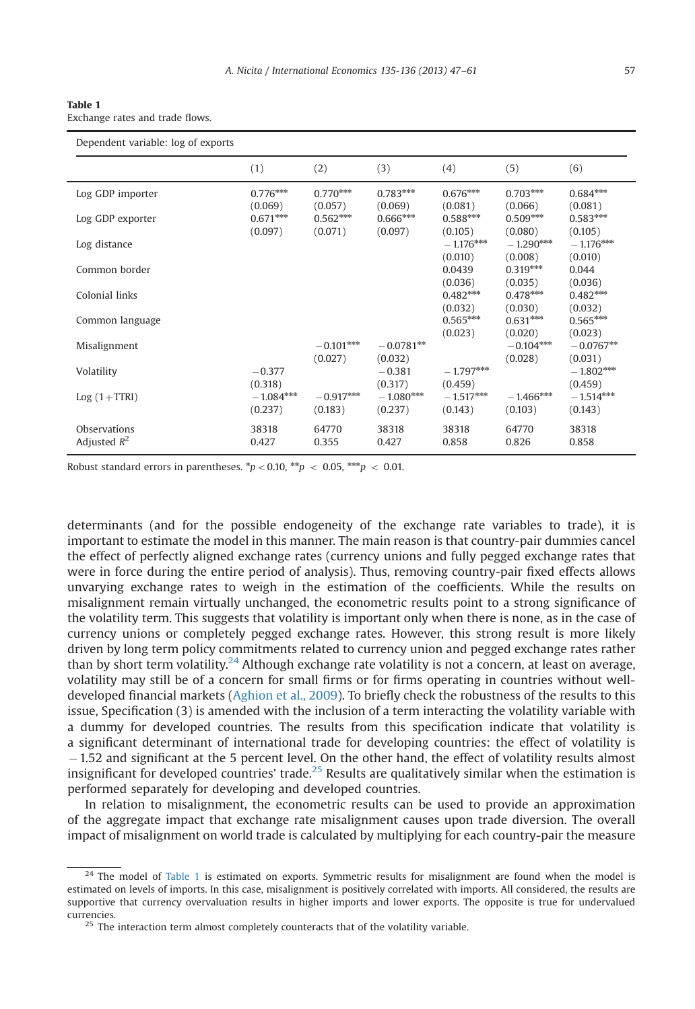<span id="page-10-0"></span>

| <b>Table 1</b>                  |  |  |
|---------------------------------|--|--|
| Exchange rates and trade flows. |  |  |

| Dependent variable: log of exports |                        |                        |                         |                        |                        |                        |
|------------------------------------|------------------------|------------------------|-------------------------|------------------------|------------------------|------------------------|
|                                    | (1)                    | (2)                    | (3)                     | (4)                    | (5)                    | (6)                    |
| Log GDP importer                   | $0.776***$<br>(0.069)  | $0.770***$<br>(0.057)  | $0.783***$<br>(0.069)   | $0.676***$<br>(0.081)  | $0.703***$<br>(0.066)  | $0.684***$<br>(0.081)  |
| Log GDP exporter                   | $0.671***$<br>(0.097)  | $0.562***$<br>(0.071)  | $0.666***$<br>(0.097)   | $0.588***$<br>(0.105)  | $0.509***$<br>(0.080)  | $0.583***$<br>(0.105)  |
| Log distance                       |                        |                        |                         | $-1.176***$<br>(0.010) | $-1.290***$<br>(0.008) | $-1.176***$<br>(0.010) |
| Common border                      |                        |                        |                         | 0.0439<br>(0.036)      | $0.319***$<br>(0.035)  | 0.044<br>(0.036)       |
| Colonial links                     |                        |                        |                         | $0.482***$<br>(0.032)  | $0.478***$<br>(0.030)  | $0.482***$<br>(0.032)  |
| Common language                    |                        |                        |                         | $0.565***$<br>(0.023)  | $0.631***$<br>(0.020)  | $0.565***$<br>(0.023)  |
| Misalignment                       |                        | $-0.101***$<br>(0.027) | $-0.0781***$<br>(0.032) |                        | $-0.104***$<br>(0.028) | $-0.0767**$<br>(0.031) |
| Volatility                         | $-0.377$<br>(0.318)    |                        | $-0.381$<br>(0.317)     | $-1.797***$<br>(0.459) |                        | $-1.802***$<br>(0.459) |
| $Log(1+TTRI)$                      | $-1.084***$<br>(0.237) | $-0.917***$<br>(0.183) | $-1.080***$<br>(0.237)  | $-1.517***$<br>(0.143) | $-1.466***$<br>(0.103) | $-1.514***$<br>(0.143) |
| Observations<br>Adjusted $R^2$     | 38318<br>0.427         | 64770<br>0.355         | 38318<br>0.427          | 38318<br>0.858         | 64770<br>0.826         | 38318<br>0.858         |

Robust standard errors in parentheses.  $np < 0.10$ ,  $mp < 0.05$ ,  $p = 0.01$ .

determinants (and for the possible endogeneity of the exchange rate variables to trade), it is important to estimate the model in this manner. The main reason is that country-pair dummies cancel the effect of perfectly aligned exchange rates (currency unions and fully pegged exchange rates that were in force during the entire period of analysis). Thus, removing country-pair fixed effects allows unvarying exchange rates to weigh in the estimation of the coefficients. While the results on misalignment remain virtually unchanged, the econometric results point to a strong significance of the volatility term. This suggests that volatility is important only when there is none, as in the case of currency unions or completely pegged exchange rates. However, this strong result is more likely driven by long term policy commitments related to currency union and pegged exchange rates rather than by short term volatility.<sup>24</sup> Although exchange rate volatility is not a concern, at least on average, volatility may still be of a concern for small firms or for firms operating in countries without welldeveloped financial markets ([Aghion et al., 2009](#page-13-0)). To briefly check the robustness of the results to this issue, Specification (3) is amended with the inclusion of a term interacting the volatility variable with a dummy for developed countries. The results from this specification indicate that volatility is a significant determinant of international trade for developing countries: the effect of volatility is -1.52 and significant at the 5 percent level. On the other hand, the effect of volatility results almost insignificant for developed countries' trade.<sup>25</sup> Results are qualitatively similar when the estimation is performed separately for developing and developed countries.

In relation to misalignment, the econometric results can be used to provide an approximation of the aggregate impact that exchange rate misalignment causes upon trade diversion. The overall impact of misalignment on world trade is calculated by multiplying for each country-pair the measure

<sup>&</sup>lt;sup>24</sup> The model of Table 1 is estimated on exports. Symmetric results for misalignment are found when the model is estimated on levels of imports. In this case, misalignment is positively correlated with imports. All considered, the results are supportive that currency overvaluation results in higher imports and lower exports. The opposite is true for undervalued currencies.

 $25$  The interaction term almost completely counteracts that of the volatility variable.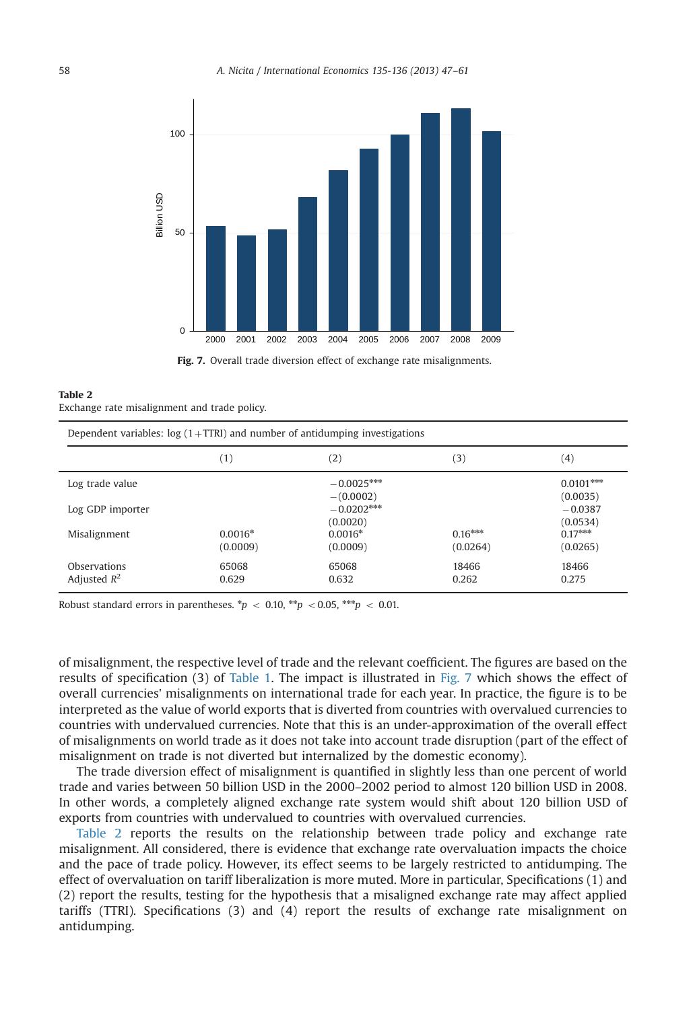<span id="page-11-0"></span>

Fig. 7. Overall trade diversion effect of exchange rate misalignments.

| Table 2 |                                              |  |  |
|---------|----------------------------------------------|--|--|
|         | Exchange rate misalignment and trade policy. |  |  |

| Dependent variables: $log(1+TTRI)$ and number of antidumping investigations |  |
|-----------------------------------------------------------------------------|--|
|-----------------------------------------------------------------------------|--|

|                                | (1)                   | (2)                         | (3)                   | (4)                     |
|--------------------------------|-----------------------|-----------------------------|-----------------------|-------------------------|
| Log trade value                |                       | $-0.0025***$<br>$-(0.0002)$ |                       | $0.0101***$<br>(0.0035) |
| Log GDP importer               |                       | $-0.0202***$<br>(0.0020)    |                       | $-0.0387$<br>(0.0534)   |
| Misalignment                   | $0.0016*$<br>(0.0009) | $0.0016*$<br>(0.0009)       | $0.16***$<br>(0.0264) | $0.17***$<br>(0.0265)   |
| Observations<br>Adjusted $R^2$ | 65068<br>0.629        | 65068<br>0.632              | 18466<br>0.262        | 18466<br>0.275          |

Robust standard errors in parentheses.  $np < 0.10$ ,  $mp < 0.05$ ,  $***p < 0.01$ .

of misalignment, the respective level of trade and the relevant coefficient. The figures are based on the results of specification (3) of [Table 1.](#page-10-0) The impact is illustrated in Fig. 7 which shows the effect of overall currencies' misalignments on international trade for each year. In practice, the figure is to be interpreted as the value of world exports that is diverted from countries with overvalued currencies to countries with undervalued currencies. Note that this is an under-approximation of the overall effect of misalignments on world trade as it does not take into account trade disruption (part of the effect of misalignment on trade is not diverted but internalized by the domestic economy).

The trade diversion effect of misalignment is quantified in slightly less than one percent of world trade and varies between 50 billion USD in the 2000–2002 period to almost 120 billion USD in 2008. In other words, a completely aligned exchange rate system would shift about 120 billion USD of exports from countries with undervalued to countries with overvalued currencies.

Table 2 reports the results on the relationship between trade policy and exchange rate misalignment. All considered, there is evidence that exchange rate overvaluation impacts the choice and the pace of trade policy. However, its effect seems to be largely restricted to antidumping. The effect of overvaluation on tariff liberalization is more muted. More in particular, Specifications (1) and (2) report the results, testing for the hypothesis that a misaligned exchange rate may affect applied tariffs (TTRI). Specifications (3) and (4) report the results of exchange rate misalignment on antidumping.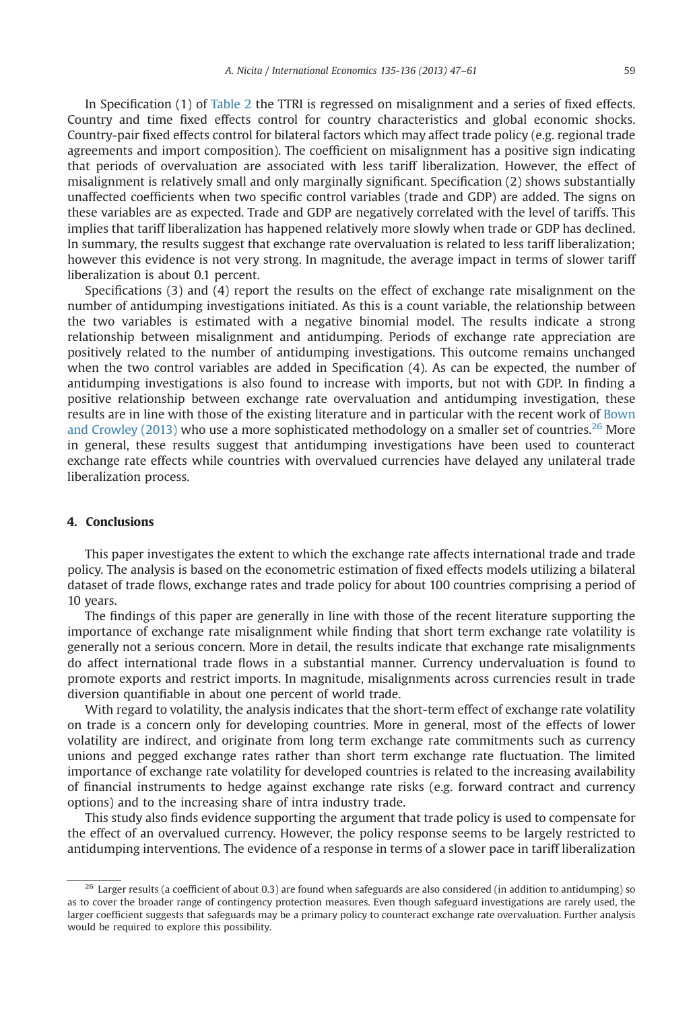<span id="page-12-0"></span>In Specification (1) of [Table 2](#page-11-0) the TTRI is regressed on misalignment and a series of fixed effects. Country and time fixed effects control for country characteristics and global economic shocks. Country-pair fixed effects control for bilateral factors which may affect trade policy (e.g. regional trade agreements and import composition). The coefficient on misalignment has a positive sign indicating that periods of overvaluation are associated with less tariff liberalization. However, the effect of misalignment is relatively small and only marginally significant. Specification (2) shows substantially unaffected coefficients when two specific control variables (trade and GDP) are added. The signs on these variables are as expected. Trade and GDP are negatively correlated with the level of tariffs. This implies that tariff liberalization has happened relatively more slowly when trade or GDP has declined. In summary, the results suggest that exchange rate overvaluation is related to less tariff liberalization; however this evidence is not very strong. In magnitude, the average impact in terms of slower tariff liberalization is about 0.1 percent.

Specifications (3) and (4) report the results on the effect of exchange rate misalignment on the number of antidumping investigations initiated. As this is a count variable, the relationship between the two variables is estimated with a negative binomial model. The results indicate a strong relationship between misalignment and antidumping. Periods of exchange rate appreciation are positively related to the number of antidumping investigations. This outcome remains unchanged when the two control variables are added in Specification (4). As can be expected, the number of antidumping investigations is also found to increase with imports, but not with GDP. In finding a positive relationship between exchange rate overvaluation and antidumping investigation, these results are in line with those of the existing literature and in particular with the recent work of [Bown](#page-13-0) [and Crowley \(2013\)](#page-13-0) who use a more sophisticated methodology on a smaller set of countries.<sup>26</sup> More in general, these results suggest that antidumping investigations have been used to counteract exchange rate effects while countries with overvalued currencies have delayed any unilateral trade liberalization process.

#### 4. Conclusions

This paper investigates the extent to which the exchange rate affects international trade and trade policy. The analysis is based on the econometric estimation of fixed effects models utilizing a bilateral dataset of trade flows, exchange rates and trade policy for about 100 countries comprising a period of 10 years.

The findings of this paper are generally in line with those of the recent literature supporting the importance of exchange rate misalignment while finding that short term exchange rate volatility is generally not a serious concern. More in detail, the results indicate that exchange rate misalignments do affect international trade flows in a substantial manner. Currency undervaluation is found to promote exports and restrict imports. In magnitude, misalignments across currencies result in trade diversion quantifiable in about one percent of world trade.

With regard to volatility, the analysis indicates that the short-term effect of exchange rate volatility on trade is a concern only for developing countries. More in general, most of the effects of lower volatility are indirect, and originate from long term exchange rate commitments such as currency unions and pegged exchange rates rather than short term exchange rate fluctuation. The limited importance of exchange rate volatility for developed countries is related to the increasing availability of financial instruments to hedge against exchange rate risks (e.g. forward contract and currency options) and to the increasing share of intra industry trade.

This study also finds evidence supporting the argument that trade policy is used to compensate for the effect of an overvalued currency. However, the policy response seems to be largely restricted to antidumping interventions. The evidence of a response in terms of a slower pace in tariff liberalization

 $^{26}$  Larger results (a coefficient of about 0.3) are found when safeguards are also considered (in addition to antidumping) so as to cover the broader range of contingency protection measures. Even though safeguard investigations are rarely used, the larger coefficient suggests that safeguards may be a primary policy to counteract exchange rate overvaluation. Further analysis would be required to explore this possibility.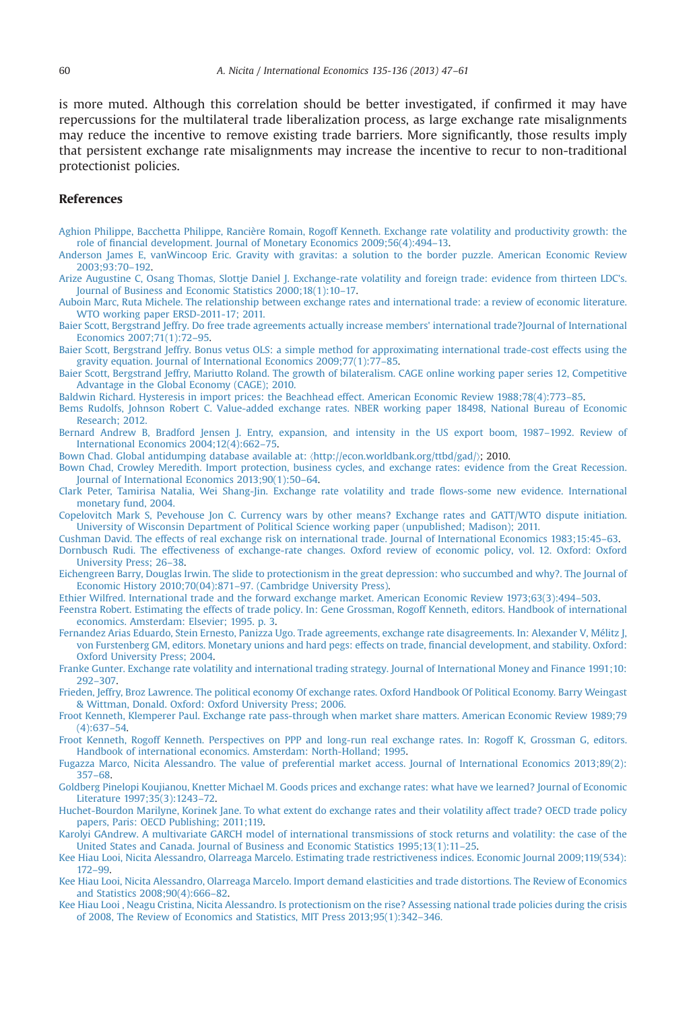<span id="page-13-0"></span>is more muted. Although this correlation should be better investigated, if confirmed it may have repercussions for the multilateral trade liberalization process, as large exchange rate misalignments may reduce the incentive to remove existing trade barriers. More significantly, those results imply that persistent exchange rate misalignments may increase the incentive to recur to non-traditional protectionist policies.

#### References

- [Aghion Philippe, Bacchetta Philippe, Rancière Romain, Rogoff Kenneth. Exchange rate volatility and productivity growth: the](http://refhub.elsevier.com/S2110-7017(13)00037-1/sbref1) role of fi[nancial development. Journal of Monetary Economics 2009;56\(4\):494](http://refhub.elsevier.com/S2110-7017(13)00037-1/sbref1)–13.
- [Anderson James E, vanWincoop Eric. Gravity with gravitas: a solution to the border puzzle. American Economic Review](http://refhub.elsevier.com/S2110-7017(13)00037-1/sbref2) [2003;93:70](http://refhub.elsevier.com/S2110-7017(13)00037-1/sbref2)–192.
- [Arize Augustine C, Osang Thomas, Slottje Daniel J. Exchange-rate volatility and foreign trade: evidence from thirteen LDC's.](http://refhub.elsevier.com/S2110-7017(13)00037-1/sbref3) [Journal of Business and Economic Statistics 2000;18\(1\):10](http://refhub.elsevier.com/S2110-7017(13)00037-1/sbref3)–17.
- [Auboin Marc, Ruta Michele. The relationship between exchange rates and international trade: a review of economic literature.](http://refhub.elsevier.com/S2110-7017(13)00037-1/othref0005) [WTO working paper ERSD-2011-17; 2011.](http://refhub.elsevier.com/S2110-7017(13)00037-1/othref0005)
- [Baier Scott, Bergstrand Jeffry. Do free trade agreements actually increase members' international trade?Journal of International](http://refhub.elsevier.com/S2110-7017(13)00037-1/sbref4) [Economics 2007;71\(1\):72](http://refhub.elsevier.com/S2110-7017(13)00037-1/sbref4)–95.
- [Baier Scott, Bergstrand Jeffry. Bonus vetus OLS: a simple method for approximating international trade-cost effects using the](http://refhub.elsevier.com/S2110-7017(13)00037-1/sbref5) [gravity equation. Journal of International Economics 2009;77\(1\):77](http://refhub.elsevier.com/S2110-7017(13)00037-1/sbref5)–85.
- [Baier Scott, Bergstrand Jeffry, Mariutto Roland. The growth of bilateralism. CAGE online working paper series 12, Competitive](http://refhub.elsevier.com/S2110-7017(13)00037-1/othref0010) [Advantage in the Global Economy \(CAGE\); 2010.](http://refhub.elsevier.com/S2110-7017(13)00037-1/othref0010)
- [Baldwin Richard. Hysteresis in import prices: the Beachhead effect. American Economic Review 1988;78\(4\):773](http://refhub.elsevier.com/S2110-7017(13)00037-1/sbref6)–85.

[Bems Rudolfs, Johnson Robert C. Value-added exchange rates. NBER working paper 18498, National Bureau of Economic](http://refhub.elsevier.com/S2110-7017(13)00037-1/othref0015) [Research; 2012.](http://refhub.elsevier.com/S2110-7017(13)00037-1/othref0015)

- [Bernard Andrew B, Bradford Jensen J. Entry, expansion, and intensity in the US export boom, 1987](http://refhub.elsevier.com/S2110-7017(13)00037-1/sbref7)–1992. Review of [International Economics 2004;12\(4\):662](http://refhub.elsevier.com/S2110-7017(13)00037-1/sbref7)–75.
- [Bown Chad. Global antidumping database available at:](http://econ.worldbank.org/ttbd/gad/) 〈http://econ.worldbank.org/ttbd/gad/〉; 2010.
- [Bown Chad, Crowley Meredith. Import protection, business cycles, and exchange rates: evidence from the Great Recession.](http://refhub.elsevier.com/S2110-7017(13)00037-1/sbref8) [Journal of International Economics 2013;90\(1\):50](http://refhub.elsevier.com/S2110-7017(13)00037-1/sbref8)–64.
- [Clark Peter, Tamirisa Natalia, Wei Shang-Jin. Exchange rate volatility and trade](http://refhub.elsevier.com/S2110-7017(13)00037-1/othref0025) flows-some new evidence. International [monetary fund, 2004.](http://refhub.elsevier.com/S2110-7017(13)00037-1/othref0025)
- [Copelovitch Mark S, Pevehouse Jon C. Currency wars by other means? Exchange rates and GATT/WTO dispute initiation.](http://refhub.elsevier.com/S2110-7017(13)00037-1/othref0030) [University of Wisconsin Department of Political Science working paper \(unpublished; Madison\); 2011.](http://refhub.elsevier.com/S2110-7017(13)00037-1/othref0030)
- [Cushman David. The effects of real exchange risk on international trade. Journal of International Economics 1983;15:45](http://refhub.elsevier.com/S2110-7017(13)00037-1/sbref10)–63.
- [Dornbusch Rudi. The effectiveness of exchange-rate changes. Oxford review of economic policy, vol. 12. Oxford: Oxford](http://refhub.elsevier.com/S2110-7017(13)00037-1/sbref11) [University Press; 26](http://refhub.elsevier.com/S2110-7017(13)00037-1/sbref11)–38.
- [Eichengreen Barry, Douglas Irwin. The slide to protectionism in the great depression: who succumbed and why?. The Journal of](http://refhub.elsevier.com/S2110-7017(13)00037-1/sbref12) [Economic History 2010;70\(04\):871](http://refhub.elsevier.com/S2110-7017(13)00037-1/sbref12)–97. (Cambridge University Press).
- [Ethier Wilfred. International trade and the forward exchange market. American Economic Review 1973;63\(3\):494](http://refhub.elsevier.com/S2110-7017(13)00037-1/sbref13)–503.
- [Feenstra Robert. Estimating the effects of trade policy. In: Gene Grossman, Rogoff Kenneth, editors. Handbook of international](http://refhub.elsevier.com/S2110-7017(13)00037-1/sbref14) [economics. Amsterdam: Elsevier; 1995. p. 3.](http://refhub.elsevier.com/S2110-7017(13)00037-1/sbref14)
- [Fernandez Arias Eduardo, Stein Ernesto, Panizza Ugo. Trade agreements, exchange rate disagreements. In: Alexander V, Mélitz J,](http://refhub.elsevier.com/S2110-7017(13)00037-1/sbref15) [von Furstenberg GM, editors. Monetary unions and hard pegs: effects on trade,](http://refhub.elsevier.com/S2110-7017(13)00037-1/sbref15) financial development, and stability. Oxford: [Oxford University Press; 2004.](http://refhub.elsevier.com/S2110-7017(13)00037-1/sbref15)
- [Franke Gunter. Exchange rate volatility and international trading strategy. Journal of International Money and Finance 1991;10:](http://refhub.elsevier.com/S2110-7017(13)00037-1/sbref16) 292–[307.](http://refhub.elsevier.com/S2110-7017(13)00037-1/sbref16)
- [Frieden, Jeffry, Broz Lawrence. The political economy Of exchange rates. Oxford Handbook Of Political Economy. Barry Weingast](http://refhub.elsevier.com/S2110-7017(13)00037-1/othref6971) [& Wittman, Donald. Oxford: Oxford University Press; 2006.](http://refhub.elsevier.com/S2110-7017(13)00037-1/othref6971)
- [Froot Kenneth, Klemperer Paul. Exchange rate pass-through when market share matters. American Economic Review 1989;79](http://refhub.elsevier.com/S2110-7017(13)00037-1/sbref17) [\(4\):637](http://refhub.elsevier.com/S2110-7017(13)00037-1/sbref17)–54.
- [Froot Kenneth, Rogoff Kenneth. Perspectives on PPP and long-run real exchange rates. In: Rogoff K, Grossman G, editors.](http://refhub.elsevier.com/S2110-7017(13)00037-1/sbref18) [Handbook of international economics. Amsterdam: North-Holland; 1995.](http://refhub.elsevier.com/S2110-7017(13)00037-1/sbref18)
- Fugazza [Marco, Nicita Alessandro. The value of preferential market access. Journal of International Economics 2013;89\(2\):](http://refhub.elsevier.com/S2110-7017(13)00037-1/sbref19) [357](http://refhub.elsevier.com/S2110-7017(13)00037-1/sbref19)–68.
- [Goldberg Pinelopi Koujianou, Knetter Michael M. Goods prices and exchange rates: what have we learned? Journal of Economic](http://refhub.elsevier.com/S2110-7017(13)00037-1/sbref20) [Literature 1997;35\(3\):1243](http://refhub.elsevier.com/S2110-7017(13)00037-1/sbref20)–72.
- [Huchet-Bourdon Marilyne, Korinek Jane. To what extent do exchange rates and their volatility affect trade? OECD trade policy](http://refhub.elsevier.com/S2110-7017(13)00037-1/sbref21) [papers, Paris: OECD Publishing; 2011;119.](http://refhub.elsevier.com/S2110-7017(13)00037-1/sbref21)
- [Karolyi GAndrew. A multivariate GARCH model of international transmissions of stock returns and volatility: the case of the](http://refhub.elsevier.com/S2110-7017(13)00037-1/sbref22) [United States and Canada. Journal of Business and Economic Statistics 1995;13\(1\):11](http://refhub.elsevier.com/S2110-7017(13)00037-1/sbref22)–25.
- [Kee Hiau Looi, Nicita Alessandro, Olarreaga Marcelo. Estimating trade restrictiveness indices. Economic Journal 2009;119\(534\):](http://refhub.elsevier.com/S2110-7017(13)00037-1/sbref23) [172](http://refhub.elsevier.com/S2110-7017(13)00037-1/sbref23)–99.
- [Kee Hiau Looi, Nicita Alessandro, Olarreaga Marcelo. Import demand elasticities and trade distortions. The Review of Economics](http://refhub.elsevier.com/S2110-7017(13)00037-1/sbref24) [and Statistics 2008;90\(4\):666](http://refhub.elsevier.com/S2110-7017(13)00037-1/sbref24)–82.
- [Kee Hiau Looi , Neagu Cristina, Nicita Alessandro. Is protectionism on the rise? Assessing national trade policies during the crisis](http://refhub.elsevier.com/S2110-7017(13)00037-1/othref2566) [of 2008, The Review of Economics and Statistics, MIT Press 2013;95\(1\):342](http://refhub.elsevier.com/S2110-7017(13)00037-1/othref2566)–346.